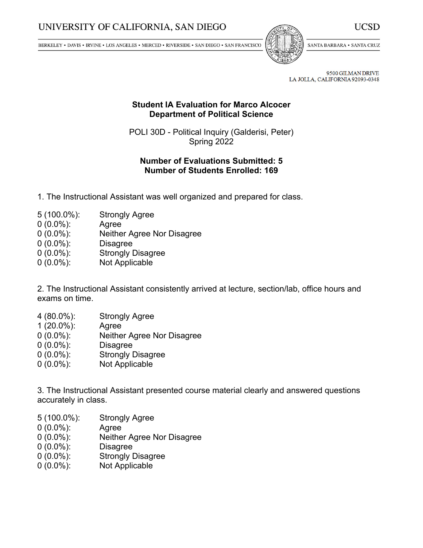BERKELEY • DAVIS • IRVINE • LOS ANGELES • MERCED • RIVERSIDE • SAN DIEGO • SAN FRANCISCO



SANTA BARBARA . SANTA CRUZ

UCSD

9500 GILMAN DRIVE LA JOLLA, CALIFORNIA 92093-0348

## **Student IA Evaluation for Marco Alcocer Department of Political Science**

POLI 30D - Political Inquiry (Galderisi, Peter) Spring 2022

## **Number of Evaluations Submitted: 5 Number of Students Enrolled: 169**

- 1. The Instructional Assistant was well organized and prepared for class.
- 5 (100.0%): Strongly Agree
- 0 (0.0%): Agree
- 0 (0.0%): Neither Agree Nor Disagree
- 0 (0.0%): Disagree
- 0 (0.0%): Strongly Disagree
- 0 (0.0%): Not Applicable

2. The Instructional Assistant consistently arrived at lecture, section/lab, office hours and exams on time.

- 4 (80.0%): Strongly Agree
- 1 (20.0%): Agree
- 0 (0.0%): Neither Agree Nor Disagree
- 0 (0.0%): Disagree
- 0 (0.0%): Strongly Disagree
- 0 (0.0%): Not Applicable

3. The Instructional Assistant presented course material clearly and answered questions accurately in class.

- 5 (100.0%): Strongly Agree
- 0 (0.0%): Agree
- 0 (0.0%): Neither Agree Nor Disagree
- 0 (0.0%): Disagree
- 0 (0.0%): Strongly Disagree
- 0 (0.0%): Not Applicable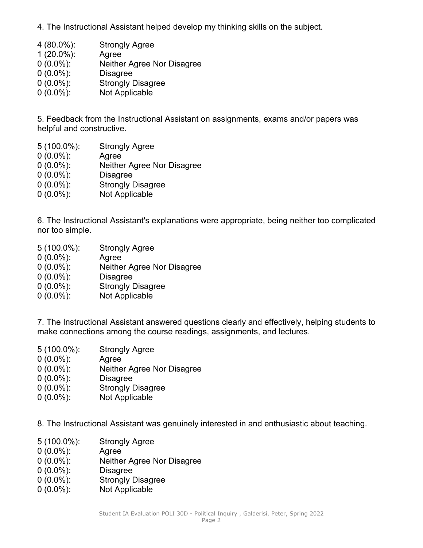- 4. The Instructional Assistant helped develop my thinking skills on the subject.
- 4 (80.0%): Strongly Agree
- 1 (20.0%): Agree
- 0 (0.0%): Neither Agree Nor Disagree
- 0 (0.0%): Disagree
- 0 (0.0%): Strongly Disagree
- 0 (0.0%): Not Applicable

5. Feedback from the Instructional Assistant on assignments, exams and/or papers was helpful and constructive.

- 5 (100.0%): Strongly Agree
- 0 (0.0%): Agree
- 0 (0.0%): Neither Agree Nor Disagree
- 0 (0.0%): Disagree
- 0 (0.0%): Strongly Disagree
- 0 (0.0%): Not Applicable

6. The Instructional Assistant's explanations were appropriate, being neither too complicated nor too simple.

- 5 (100.0%): Strongly Agree 0 (0.0%): Agree 0 (0.0%): Neither Agree Nor Disagree 0 (0.0%): Disagree 0 (0.0%): Strongly Disagree
- 0 (0.0%): Not Applicable

7. The Instructional Assistant answered questions clearly and effectively, helping students to make connections among the course readings, assignments, and lectures.

- 5 (100.0%): Strongly Agree 0 (0.0%): Agree 0 (0.0%): Neither Agree Nor Disagree 0 (0.0%): Disagree
- 0 (0.0%): Strongly Disagree
- 0 (0.0%): Not Applicable

8. The Instructional Assistant was genuinely interested in and enthusiastic about teaching.

- 5 (100.0%): Strongly Agree
- 0 (0.0%): Agree
- 0 (0.0%): Neither Agree Nor Disagree
- 0 (0.0%): Disagree
- 0 (0.0%): Strongly Disagree
- 0 (0.0%): Not Applicable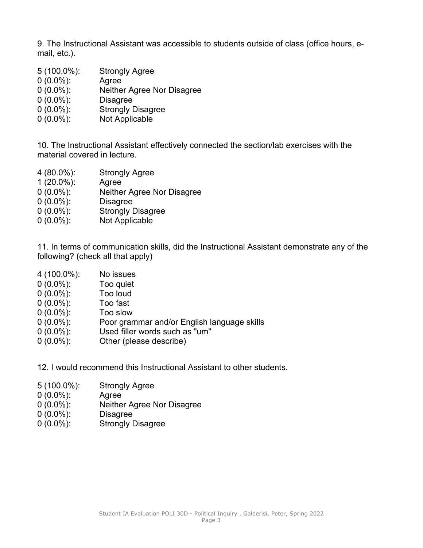9. The Instructional Assistant was accessible to students outside of class (office hours, email, etc.).

 (100.0%): Strongly Agree (0.0%): Agree (0.0%): Neither Agree Nor Disagree (0.0%): Disagree (0.0%): Strongly Disagree (0.0%): Not Applicable

10. The Instructional Assistant effectively connected the section/lab exercises with the material covered in lecture.

- 4 (80.0%): Strongly Agree
- 1 (20.0%): Agree
- 0 (0.0%): Neither Agree Nor Disagree
- 0 (0.0%): Disagree
- 0 (0.0%): Strongly Disagree
- 0 (0.0%): Not Applicable

11. In terms of communication skills, did the Instructional Assistant demonstrate any of the following? (check all that apply)

- 4 (100.0%): No issues
- 0 (0.0%): Too quiet
- $0(0.0\%)$ :
- 0 (0.0%): Too fast
- 0 (0.0%): Too slow
- 0 (0.0%): Poor grammar and/or English language skills
- 0 (0.0%): Used filler words such as "um"
- 0 (0.0%): Other (please describe)
- 12. I would recommend this Instructional Assistant to other students.
- 5 (100.0%): Strongly Agree
- 0 (0.0%): Agree
- 0 (0.0%): Neither Agree Nor Disagree
- 0 (0.0%): Disagree
- 0 (0.0%): Strongly Disagree